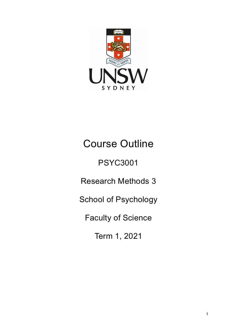

# Course Outline

PSYC3001

Research Methods 3

School of Psychology

Faculty of Science

Term 1, 2021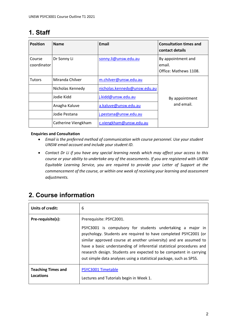# **1. Staff**

| <b>Position</b>       | <b>Name</b>         | Email                        | <b>Consultation times and</b><br>contact details      |
|-----------------------|---------------------|------------------------------|-------------------------------------------------------|
| Course<br>coordinator | Dr Sonny Li         | sonny.li@unsw.edu.au         | By appointment and<br>email.<br>Office: Mathews 1108. |
| <b>Tutors</b>         | Miranda Chilver     | m.chilver@unsw.edu.au        |                                                       |
|                       | Nicholas Kennedy    | nicholas.kennedy@unsw.edu.au |                                                       |
|                       | Jodie Kidd          | j.kidd@unsw.edu.au           | By appointment                                        |
|                       | Anagha Kaluve       | a.kaluve@unsw.edu.au         | and email.                                            |
|                       | Jodie Pestana       | j.pestana@unsw.edu.au        |                                                       |
|                       | Catherine Viengkham | c.viengkham@unsw.edu.au      |                                                       |

#### **Enquiries and Consultation**

- *Email is the preferred method of communication with course personnel. Use your student UNSW email account and include your student ID.*
- *Contact Dr Li if you have any special learning needs which may affect your access to this course or your ability to undertake any of the assessments. If you are registered with UNSW Equitable Learning Service, you are required to provide your Letter of Support at the commencement of the course, or within one week of receiving your learning and assessment adjustments.*

# **2. Course information**

| Units of credit:                       | 6                                                                                                                                                                                                                                                                                                                                                                                                                                                   |
|----------------------------------------|-----------------------------------------------------------------------------------------------------------------------------------------------------------------------------------------------------------------------------------------------------------------------------------------------------------------------------------------------------------------------------------------------------------------------------------------------------|
| Pre-requisite(s):                      | Prerequisite: PSYC2001.<br>PSYC3001 is compulsory for students undertaking a major in<br>psychology. Students are required to have completed PSYC2001 (or<br>similar approved course at another university) and are assumed to<br>have a basic understanding of inferential statistical procedures and<br>research design. Students are expected to be competent in carrying<br>out simple data analyses using a statistical package, such as SPSS. |
| <b>Teaching Times and</b><br>Locations | PSYC3001 Timetable<br>Lectures and Tutorials begin in Week 1.                                                                                                                                                                                                                                                                                                                                                                                       |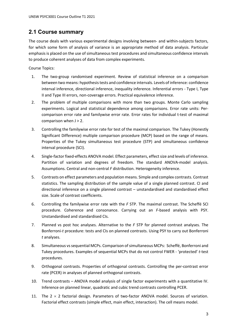### **2.1 Course summary**

The course deals with various experimental designs involving between- and within-subjects factors, for which some form of analysis of variance is an appropriate method of data analysis. Particular emphasis is placed on the use of simultaneous test procedures and simultaneous confidence intervals to produce coherent analyses of data from complex experiments.

Course Topics:

- 1. The two-group randomised experiment. Review of statistical inference on a comparison between two means: hypothesis tests and confidence intervals. Levels of inference: confidence interval inference, directional inference, inequality inference. Inferential errors - Type I, Type II and Type III errors, non-coverage errors. Practical equivalence inference.
- 2. The problem of multiple comparisons with more than two groups. Monte Carlo sampling experiments. Logical and statistical dependence among comparisons. Error rate units: Percomparison error rate and familywise error rate. Error rates for individual t-test of maximal comparison when  $J > 2$ .
- 3. Controlling the familywise error rate for test of the maximal comparison. The Tukey (Honestly Significant Difference) multiple comparison procedure (MCP) based on the range of means. Properties of the Tukey simultaneous test procedure (STP) and simultaneous confidence interval procedure (SCI).
- 4. Single-factor fixed-effects ANOVA model. Effect parameters, effect size and levels of inference. Partition of variation and degrees of freedom. The standard ANOVA-model analysis. Assumptions. Central and non-central *F* distribution. Heterogeneity inference.
- 5. Contrasts on effect parameters and population means. Simple and complex contrasts. Contrast statistics. The sampling distribution of the sample value of a single planned contrast. CI and directional inference on a single planned contrast – unstandardised and standardised effect size. Scale of contrast coefficients.
- 6. Controlling the familywise error rate with the *F* STP. The maximal contrast. The Scheffé SCI procedure. Coherence and consonance. Carrying out an *F*-based analysis with PSY. Unstandardised and standardised CIs.
- 7. Planned vs post hoc analyses. Alternative to the *F* STP for planned contrast analyses. The Bonferroni-*t* procedure: tests and CIs on planned contrasts. Using PSY to carry out Bonferroni *t* analyses.
- 8. Simultaneous vs sequential MCPs. Comparison of simultaneous MCPs: Scheffé, Bonferroni and Tukey procedures. Examples of sequential MCPs that do not control FWER - 'protected' *t*-test procedures.
- 9. Orthogonal contrasts. Properties of orthogonal contrasts. Controlling the per-contrast error rate (PCER) in analyses of planned orthogonal contrasts.
- 10. Trend contrasts ANOVA model analysis of single factor experiments with a quantitative IV. Inference on planned linear, quadratic and cubic trend contrasts controlling PCER.
- 11. The  $2 \times 2$  factorial design. Parameters of two-factor ANOVA model. Sources of variation. Factorial effect contrasts (simple effect, main effect, interaction). The cell means model.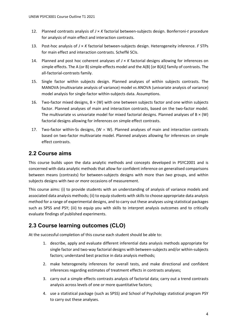- 12. Planned contrasts analysis of *J* × *K* factorial between-subjects design. Bonferroni-*t* procedure for analysis of main effect and interaction contrasts.
- 13. Post-hoc analysis of *J* × *K* factorial between-subjects design. Heterogeneity inference. *F* STPs for main effect and interaction contrasts. Scheffé SCIs.
- 14. Planned and post hoc coherent analyses of *J* × *K* factorial designs allowing for inferences on simple effects. The A (or B) simple-effects model and the A(B) [or B(A)] family of contrasts. The all-factorial-contrasts family.
- 15. Single factor within subjects design. Planned analyses of within subjects contrasts. The MANOVA (multivariate analysis of variance) model vs ANOVA (univariate analysis of variance) model analysis for single-factor within-subjects data. Assumptions.
- 16. Two-factor mixed designs,  $B \times (W)$  with one between subjects factor and one within subjects factor. Planned analyses of main and interaction contrasts, based on the two-factor model. The multivariate vs univariate model for mixed factorial designs. Planned analyses of  $B \times (W)$ factorial designs allowing for inferences on simple effect contrasts.
- 17. Two-factor within-Ss designs, (W  $\times$  W). Planned analyses of main and interaction contrasts based on two-factor multivariate model. Planned analyses allowing for inferences on simple effect contrasts.

### **2.2 Course aims**

This course builds upon the data analytic methods and concepts developed in PSYC2001 and is concerned with data analytic methods that allow for confident inference on generalised comparisons between means (contrasts) for between‐subjects designs with more than *two* groups, and within subjects designs with *two or more* occasions of measurement.

This course aims: (i) to provide students with an understanding of analysis of variance models and associated data analysis methods; (ii) to equip students with skills to choose appropriate data analysis method for a range of experimental designs, and to carry out these analyses using statistical packages such as SPSS and PSY; (iii) to equip you with skills to interpret analysis outcomes and to critically evaluate findings of published experiments.

### **2.3 Course learning outcomes (CLO)**

At the successful completion of this course each student should be able to:

- 1. describe, apply and evaluate different inferential data analysis methods appropriate for single factor and two-way factorial designs with between-subjects and/or within-subjects factors; understand best practice in data analysis methods;
- 2. make heterogeneity inferences for overall tests, and make directional and confident inferences regarding estimates of treatment effects in contrasts analyses;
- 3. carry out a simple effects contrasts analysis of factorial data; carry out a trend contrasts analysis across levels of one or more quantitative factors;
- 4. use a statistical package (such as SPSS) and School of Psychology statistical program PSY to carry out these analyses.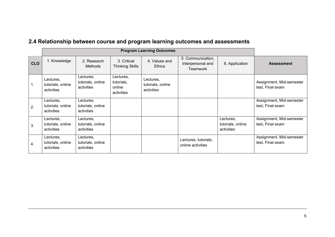# **2.4 Relationship between course and program learning outcomes and assessments**

|                | <b>Program Learning Outcomes</b>             |                                              |                                                 |                                              |                                                           |                                              |                                              |
|----------------|----------------------------------------------|----------------------------------------------|-------------------------------------------------|----------------------------------------------|-----------------------------------------------------------|----------------------------------------------|----------------------------------------------|
| <b>CLO</b>     | 1. Knowledge                                 | 2. Research<br><b>Methods</b>                | 3. Critical<br><b>Thinking Skills</b>           | 4. Values and<br><b>Ethics</b>               | 5. Communication,<br>Interpersonal and<br><b>Teamwork</b> | 6. Application                               | <b>Assessment</b>                            |
| 1 <sub>1</sub> | Lectures,<br>tutorials, online<br>activities | Lectures,<br>tutorials, online<br>activities | Lectures,<br>tutorials,<br>online<br>activities | Lectures,<br>tutorials, online<br>activities |                                                           |                                              | Assignment, Mid-semester<br>test, Final exam |
| 2.             | Lectures,<br>tutorials, online<br>activities | Lectures,<br>tutorials, online<br>activities |                                                 |                                              |                                                           |                                              | Assignment, Mid-semester<br>test, Final exam |
| 3.             | Lectures,<br>tutorials, online<br>activities | Lectures,<br>tutorials, online<br>activities |                                                 |                                              |                                                           | Lectures,<br>tutorials, online<br>activities | Assignment, Mid-semester<br>test, Final exam |
| 4.             | Lectures,<br>tutorials, online<br>activities | Lectures,<br>tutorials, online<br>activities |                                                 |                                              | Lectures, tutorials,<br>online activities                 |                                              | Assignment, Mid-semester<br>test, Final exam |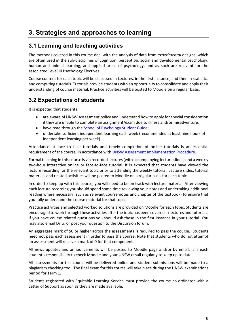# **3. Strategies and approaches to learning**

#### **3.1 Learning and teaching activities**

The methods covered in this course deal with the analysis of data from *experimental* designs, which are often used in the sub-disciplines of cognition, perception, social and developmental psychology, human and animal learning, and applied areas of psychology, and as such are relevant for the associated Level III Psychology Electives.

Course content for each topic will be discussed in Lectures, in the first instance, and then in statistics and computing tutorials. Tutorials provide students with an opportunity to consolidate and apply their understanding of course material. Practice activities will be posted to Moodle on a regular basis.

### **3.2 Expectations of students**

It is expected that students

- are aware of UNSW Assessment policy and understand how to apply for special consideration if they are unable to complete an assignment/exam due to illness and/or misadventure;
- have read through the [School of Psychology Student Guide;](http://www.psy.unsw.edu.au/current-students/student-guide)
- undertake sufficient independent learning each week (recommended at least nine hours of independent learning per week).

Attendance at face to face tutorials and timely completion of online tutorials is an essential requirement of the course, in accordance with [UNSW Assessment Implementation Procedure.](https://www.gs.unsw.edu.au/policy/documents/assessmentimplementationprocedure.pdf)

Formal teaching in this course is via recorded lectures(with accompanying lecture slides) and a weekly two‐hour interactive online or face-to-face tutorial. It is expected that students have viewed the lecture recording for the relevant topic prior to attending the weekly tutorial. Lecture slides, tutorial materials and related activities will be posted to Moodle on a regular basis for each topic.

In order to keep up with this course, you will need to be on track with lecture material. After viewing each lecture recording you should spend some time reviewing your notes and undertaking additional reading where necessary (such as relevant course notes and chapter of the textbook) to ensure that you fully understand the course material for that topic.

Practice activities and selected worked solutions are provided on Moodle for each topic. Students are encouraged to work through these activities after the topic has been covered in lectures and tutorials. If you have course related questions you should ask these in the first instance in your tutorial. You may also email Dr Li, or post your question to the Discussion forum.

An aggregate mark of 50 or higher across the assessments is required to pass the course. Students need not pass each assessment in order to pass the course. Note that students who do not attempt an assessment will receive a mark of 0 for that component.

All news updates and announcements will be posted to Moodle page and/or by email. It is each student's responsibility to check Moodle and your UNSW email regularly to keep up to date.

All assessments for this course will be delivered online and student submissions will be made to a plagiarism checking tool. The final exam for this course will take place during the UNSW examinations period for Term 1.

Students registered with Equitable Learning Service must provide the course co-ordinator with a Letter of Support as soon as they are made available.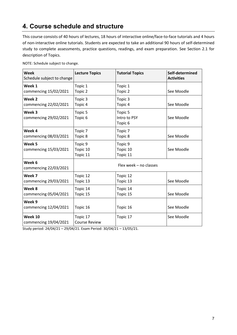# **4. Course schedule and structure**

This course consists of 40 hours of lectures, 18 hours of interactive online/face-to-face tutorials and 4 hours of non-interactive online tutorials. Students are expected to take an additional 90 hours of self-determined study to complete assessments, practice questions, readings, and exam preparation. See Section 2.1 for description of Topics.

| <b>Week</b><br>Schedule subject to change  | <b>Lecture Topics</b>            | <b>Tutorial Topics</b>                        | Self-determined<br><b>Activities</b> |
|--------------------------------------------|----------------------------------|-----------------------------------------------|--------------------------------------|
| Week 1<br>commencing 15/02/2021            | Topic 1<br>Topic 2               | Topic 1<br>Topic 2                            | See Moodle                           |
| Week <sub>2</sub><br>commencing 22/02/2021 | Topic 3<br>Topic 4               | Topic 3<br>Topic 4                            | See Moodle                           |
| Week 3<br>commencing 29/02/2021            | Topic 5<br>Topic <sub>6</sub>    | Topic 5<br>Intro to PSY<br>Topic <sub>6</sub> | See Moodle                           |
| Week 4<br>commencing 08/03/2021            | Topic 7<br>Topic 8               | Topic 7<br>Topic 8                            | See Moodle                           |
| Week <sub>5</sub><br>commencing 15/03/2021 | Topic 9<br>Topic 10<br>Topic 11  | Topic 9<br>Topic 10<br>Topic 11               | See Moodle                           |
| Week 6<br>commencing 22/03/2021            |                                  | Flex week - no classes                        |                                      |
| Week 7<br>commencing 29/03/2021            | Topic 12<br>Topic 13             | Topic 12<br>Topic 13                          | See Moodle                           |
| Week 8<br>commencing 05/04/2021            | Topic 14<br>Topic 15             | Topic 14<br>Topic 15                          | See Moodle                           |
| Week 9<br>commencing 12/04/2021            | Topic 16                         | Topic 16                                      | See Moodle                           |
| Week 10<br>commencing 19/04/2021           | Topic 17<br><b>Course Review</b> | Topic 17                                      | See Moodle                           |

NOTE: Schedule subject to change.

Study period: 24/04/21 – 29/04/21. Exam Period: 30/04/21 – 13/05/21.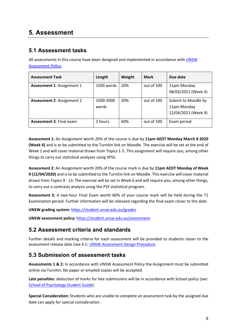### **5. Assessment**

### **5.1 Assessment tasks**

All assessments in this course have been designed and implemented in accordance wit[h UNSW](https://www.gs.unsw.edu.au/policy/documents/assessmentpolicy.pdf)  [Assessment Policy.](https://www.gs.unsw.edu.au/policy/documents/assessmentpolicy.pdf)

| <b>Assessment Task</b>            | Length             | Weight | Mark       | Due date                                                  |
|-----------------------------------|--------------------|--------|------------|-----------------------------------------------------------|
| <b>Assessment 1: Assignment 1</b> | 1500 words         | 20%    | out of 100 | 11pm Monday<br>08/03/2021 (Week 4)                        |
| <b>Assessment 2: Assignment 2</b> | 1500-2000<br>words | 20%    | out of 100 | Submit to Moodle by<br>11pm Monday<br>12/04/2021 (Week 9) |
| <b>Assessment 3: Final exam</b>   | 2 hours            | 60%    | out of 100 | Exam period                                               |

**Assessment 1:** An Assignment worth 20% of the course is due by **11pm AEDT Monday March 8 2020 (Week 4)** and is to be submitted to the Turnitin link on Moodle. The exercise will be set at the end of Week 1 and will cover material drawn from Topics 1-5. This assignment will require you, among other things to carry out statistical analyses using SPSS.

**Assessment 2:** An Assignment worth 20% of the course mark is due by **11pm AEDT Monday of Week 9 (12/04/2020)** and is to be submitted to the Turnitin link on Moodle. This exercise will cover material drawn from Topics 9 - 13. The exercise will be set in Week 6 and will require you, among other things, to carry out a contrasts analysis using the PSY statistical program.

**Assessment 3:** A two‐hour Final Exam worth 60% of your course mark will be held during the T1 Examination period. Further information will be released regarding the final exam closer to the date.

**UNSW grading system:** <https://student.unsw.edu.au/grades>

**UNSW assessment policy:** <https://student.unsw.edu.au/assessment>

### **5.2 Assessment criteria and standards**

Further details and marking criteria for each assessment will be provided to students closer to the assessment release date (see 4.1: [UNSW Assessment Design Procedure.](https://www.gs.unsw.edu.au/policy/documents/assessmentdesignprocedure.pdf)

### **5.3 Submission of assessment tasks**

**Assessments 1 & 2:** In accordance with UNSW Assessment Policy the Assignment must be submitted online via Turnitin. No paper or emailed copies will be accepted.

**Late penalties**: deduction of marks for late submissions will be in accordance with School policy (see: [School of Psychology Student Guide\)](http://www.psy.unsw.edu.au/current-students/student-guide).

**Special Consideration:** Students who are unable to complete an assessment task by the assigned due date can apply for special consideration.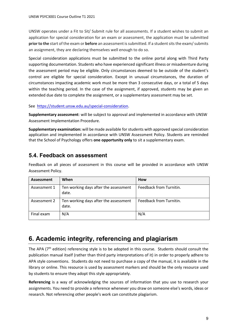UNSW operates under a Fit to Sit/ Submit rule for all assessments. If a student wishes to submit an application for special consideration for an exam or assessment, the application must be submitted **prior to the** start of the exam or **before** an assessment is submitted. If a student sits the exam/ submits an assignment, they are declaring themselves well enough to do so.

Special consideration applications must be submitted to the online portal along with Third Party supporting documentation. Students who have experienced significant illness or misadventure during the assessment period may be eligible. Only circumstances deemed to be outside of the student's control are eligible for special consideration. Except in unusual circumstances, the duration of circumstances impacting academic work must be more than 3 consecutive days, or a total of 5 days within the teaching period. In the case of the assignment, if approved, students may be given an extended due date to complete the assignment, or a supplementary assessment may be set.

See [https://student.unsw.edu.au/special-consideration.](https://student.unsw.edu.au/special-consideration)

**Supplementary assessment**: will be subject to approval and implemented in accordance with UNSW Assessment Implementation Procedure.

**Supplementary examination:** will be made available for students with approved special consideration application and implemented in accordance with UNSW Assessment Policy. Students are reminded that the School of Psychology offers **one opportunity only** to sit a supplementary exam.

#### **5.4. Feedback on assessment**

Feedback on all pieces of assessment in this course will be provided in accordance with UNSW Assessment Policy.

| <b>Assessment</b> | When                                           | How                     |
|-------------------|------------------------------------------------|-------------------------|
| Assessment 1      | Ten working days after the assessment<br>date. | Feedback from Turnitin. |
| Assessment 2      | Ten working days after the assessment<br>date. | Feedback from Turnitin. |
| Final exam        | N/A                                            | N/A                     |

# **6. Academic integrity, referencing and plagiarism**

The APA  $(7<sup>th</sup>$  edition) referencing style is to be adopted in this course. Students should consult the publication manual itself (rather than third party interpretations of it) in order to properly adhere to APA style conventions. Students do not need to purchase a copy of the manual, it is available in the library or online. This resource is used by assessment markers and should be the only resource used by students to ensure they adopt this style appropriately.

**Referencing** is a way of acknowledging the sources of information that you use to research your assignments. You need to provide a reference whenever you draw on someone else's words, ideas or research. Not referencing other people's work can constitute plagiarism.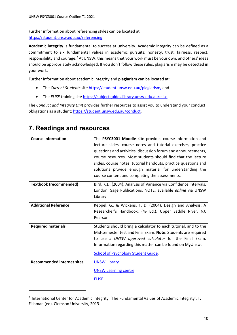Further information about referencing styles can be located at <https://student.unsw.edu.au/referencing>

**Academic integrity** is fundamental to success at university. Academic integrity can be defined as a commitment to six fundamental values in academic pursuits**:** honesty, trust, fairness, respect, responsibility and courage.*[1](#page-9-0)* At UNSW, this means that your work must be your own, and others' ideas should be appropriately acknowledged. If you don't follow these rules, plagiarism may be detected in your work.

Further information about academic integrity and **plagiarism** can be located at:

- The *Current Students* site <https://student.unsw.edu.au/plagiarism>*,* and
- The *ELISE* training site <https://subjectguides.library.unsw.edu.au/elise>

The *Conduct and Integrity Unit* provides further resources to assist you to understand your conduct obligations as a student[: https://student.unsw.edu.au/conduct.](https://student.unsw.edu.au/conduct)

| <b>Course information</b>         | The PSYC3001 Moodle site provides course information and          |
|-----------------------------------|-------------------------------------------------------------------|
|                                   |                                                                   |
|                                   | lecture slides, course notes and tutorial exercises, practice     |
|                                   | questions and activities, discussion forum and announcements,     |
|                                   | course resources. Most students should find that the lecture      |
|                                   | slides, course notes, tutorial handouts, practice questions and   |
|                                   | solutions provide enough material for understanding the           |
|                                   | course content and completing the assessments.                    |
| <b>Textbook (recommended)</b>     | Bird, K.D. (2004). Analysis of Variance via Confidence Intervals. |
|                                   | London: Sage Publications. NOTE: available <i>online</i> via UNSW |
|                                   | Library                                                           |
| <b>Additional Reference</b>       | Keppel, G., & Wickens, T. D. (2004). Design and Analysis: A       |
|                                   | Researcher's Handbook. (4th Ed.). Upper Saddle River, NJ:         |
|                                   | Pearson.                                                          |
| <b>Required materials</b>         | Students should bring a calculator to each tutorial, and to the   |
|                                   | Mid-semester test and Final Exam. Note: Students are required     |
|                                   | to use a UNSW approved calculator for the Final Exam.             |
|                                   | Information regarding this matter can be found on MyUnsw.         |
|                                   |                                                                   |
|                                   | <b>School of Psychology Student Guide.</b>                        |
| <b>Recommended internet sites</b> | <b>UNSW Library</b>                                               |
|                                   | <b>UNSW Learning centre</b>                                       |
|                                   | <b>ELISE</b>                                                      |

# **7. Readings and resources**

<span id="page-9-0"></span><sup>1</sup> International Center for Academic Integrity, 'The Fundamental Values of Academic Integrity', T. Fishman (ed), Clemson University, 2013.